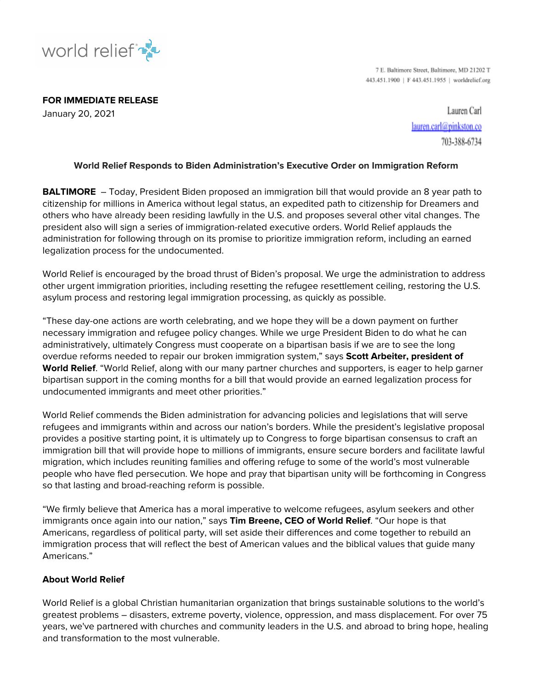

7 E. Baltimore Street, Baltimore, MD 21202 T 443.451.1900 | F 443.451.1955 | worldrelief.org

**FOR IMMEDIATE RELEASE** January 20, 2021

Lauren Carl lauren.carl@pinkston.co 703-388-6734

## **World Relief Responds to Biden Administration's Executive Order on Immigration Reform**

**BALTIMORE** – Today, President Biden proposed an immigration bill that would provide an 8 year path to citizenship for millions in America without legal status, an expedited path to citizenship for Dreamers and others who have already been residing lawfully in the U.S. and proposes several other vital changes. The president also will sign a series of immigration-related executive orders. World Relief applauds the administration for following through on its promise to prioritize immigration reform, including an earned legalization process for the undocumented.

World Relief is encouraged by the broad thrust of Biden's proposal. We urge the administration to address other urgent immigration priorities, including resetting the refugee resettlement ceiling, restoring the U.S. asylum process and restoring legal immigration processing, as quickly as possible.

"These day-one actions are worth celebrating, and we hope they will be a down payment on further necessary immigration and refugee policy changes. While we urge President Biden to do what he can administratively, ultimately Congress must cooperate on a bipartisan basis if we are to see the long overdue reforms needed to repair our broken immigration system," says **Scott Arbeiter, president of World Relief**. "World Relief, along with our many partner churches and supporters, is eager to help garner bipartisan support in the coming months for a bill that would provide an earned legalization process for undocumented immigrants and meet other priorities."

World Relief commends the Biden administration for advancing policies and legislations that will serve refugees and immigrants within and across our nation's borders. While the president's legislative proposal provides a positive starting point, it is ultimately up to Congress to forge bipartisan consensus to craft an immigration bill that will provide hope to millions of immigrants, ensure secure borders and facilitate lawful migration, which includes reuniting families and offering refuge to some of the world's most vulnerable people who have fled persecution. We hope and pray that bipartisan unity will be forthcoming in Congress so that lasting and broad-reaching reform is possible.

"We firmly believe that America has a moral imperative to welcome refugees, asylum seekers and other immigrants once again into our nation," says **Tim Breene, CEO of World Relief**. "Our hope is that Americans, regardless of political party, will set aside their differences and come together to rebuild an immigration process that will reflect the best of American values and the biblical values that guide many Americans."

## **About World Relief**

World Relief is a global Christian humanitarian organization that brings sustainable solutions to the world's greatest problems – disasters, extreme poverty, violence, oppression, and mass displacement. For over 75 years, we've partnered with churches and community leaders in the U.S. and abroad to bring hope, healing and transformation to the most vulnerable.